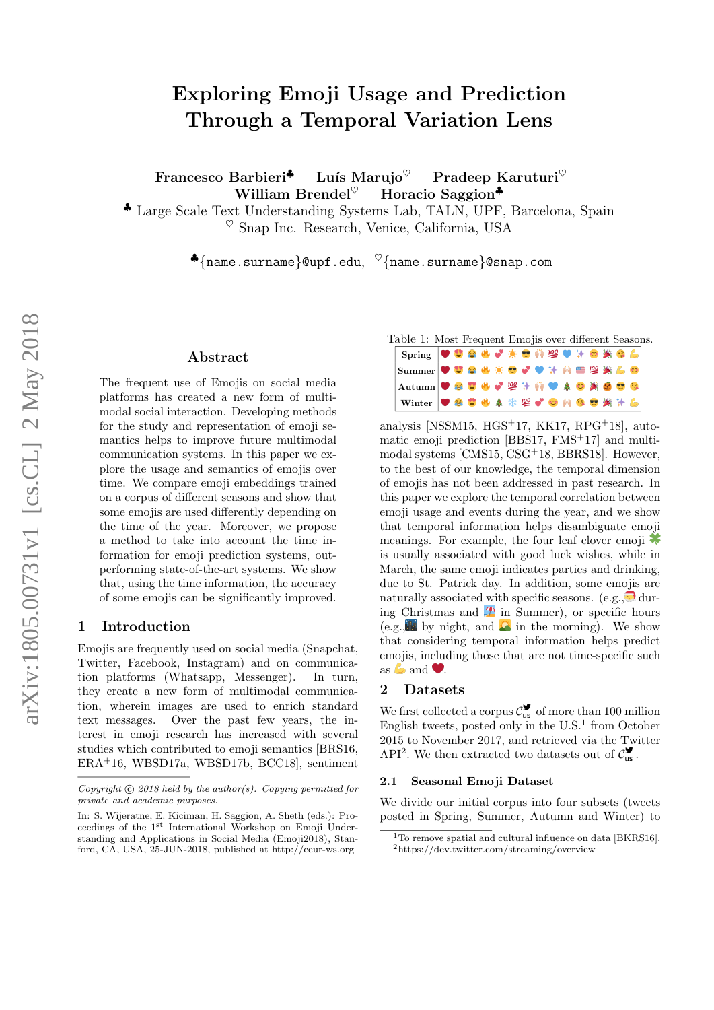# Exploring Emoji Usage and Prediction Through a Temporal Variation Lens

Francesco Barbieri<sup>↓</sup> Luís Marujo<sup>♡</sup> Pradeep Karuturi<sup>♡</sup> William Brendel $^{\heartsuit}$  Horacio Saggion<sup>\*</sup>

♣ Large Scale Text Understanding Systems Lab, TALN, UPF, Barcelona, Spain  $\%$  Snap Inc. Research, Venice, California, USA

 $\bullet$ {name.surname}@upf.edu,  $\heartsuit$ {name.surname}@snap.com

### Abstract

The frequent use of Emojis on social media platforms has created a new form of multimodal social interaction. Developing methods for the study and representation of emoji semantics helps to improve future multimodal communication systems. In this paper we explore the usage and semantics of emojis over time. We compare emoji embeddings trained on a corpus of different seasons and show that some emojis are used differently depending on the time of the year. Moreover, we propose a method to take into account the time information for emoji prediction systems, outperforming state-of-the-art systems. We show that, using the time information, the accuracy of some emojis can be significantly improved.

### 1 Introduction

Emojis are frequently used on social media (Snapchat, Twitter, Facebook, Instagram) and on communication platforms (Whatsapp, Messenger). In turn, they create a new form of multimodal communication, wherein images are used to enrich standard text messages. Over the past few years, the interest in emoji research has increased with several studies which contributed to emoji semantics [BRS16, ERA<sup>+</sup>16, WBSD17a, WBSD17b, BCC18], sentiment



analysis [NSSM15,  $HGS+17$ , KK17, RPG+18], automatic emoji prediction  $[BBS17, FMS<sup>+</sup>17]$  and multimodal systems [CMS15, CSG<sup>+</sup>18, BBRS18]. However, to the best of our knowledge, the temporal dimension of emojis has not been addressed in past research. In this paper we explore the temporal correlation between emoji usage and events during the year, and we show that temporal information helps disambiguate emoji meanings. For example, the four leaf clover emoji  $\bullet$ is usually associated with good luck wishes, while in March, the same emoji indicates parties and drinking, due to St. Patrick day. In addition, some emojis are naturally associated with specific seasons. (e.g., during Christmas and  $\mathcal{L}$  in Summer), or specific hours (e.g., by night, and  $\ddot{\bullet}$  in the morning). We show that considering temporal information helps predict emojis, including those that are not time-specific such as  $\bullet$  and  $\bullet$ .

### 2 Datasets

We first collected a corpus  $\mathcal{C}_{\text{us}}^{\blacktriangledown}$  of more than 100 million English tweets, posted only in the  $U.S.<sup>1</sup>$  from October 2015 to November 2017, and retrieved via the Twitter API<sup>2</sup>. We then extracted two datasets out of  $C_{us}^{\bullet}$ .

#### 2.1 Seasonal Emoji Dataset

We divide our initial corpus into four subsets (tweets posted in Spring, Summer, Autumn and Winter) to

Copyright  $\odot$  2018 held by the author(s). Copying permitted for private and academic purposes.

In: S. Wijeratne, E. Kiciman, H. Saggion, A. Sheth (eds.): Proceedings of the 1st International Workshop on Emoji Understanding and Applications in Social Media (Emoji2018), Stanford, CA, USA, 25-JUN-2018, published at http://ceur-ws.org

<sup>&</sup>lt;sup>1</sup>To remove spatial and cultural influence on data [BKRS16]. <sup>2</sup>https://dev.twitter.com/streaming/overview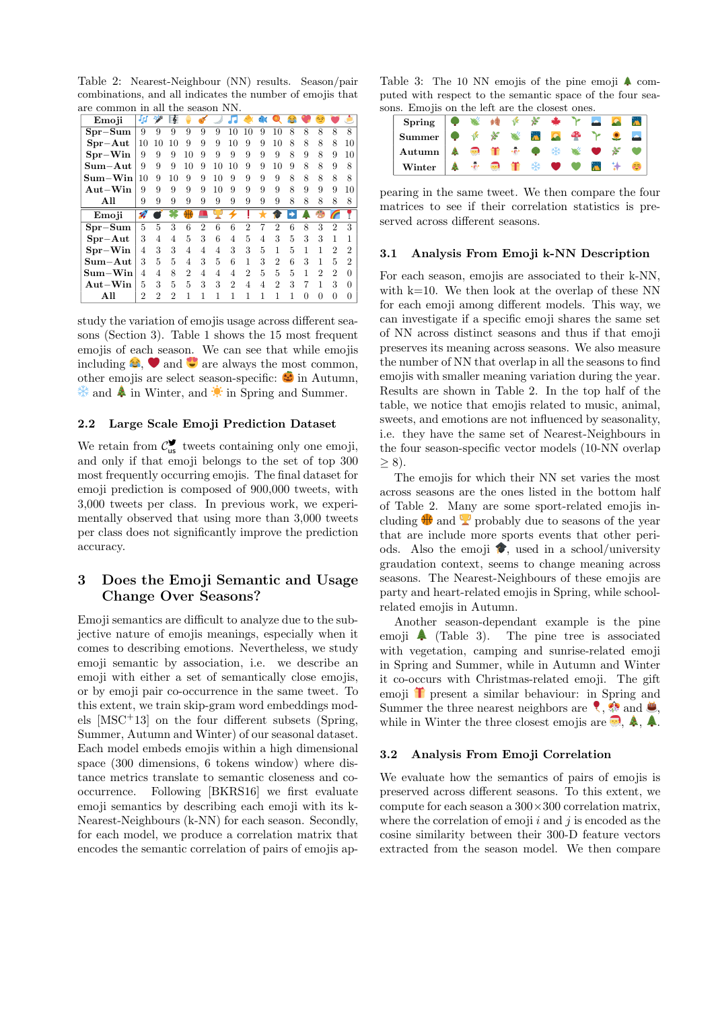Table 2: Nearest-Neighbour (NN) results. Season/pair combinations, and all indicates the number of emojis that are common in all the season NN.

| Emoji                                | Jpf | هزم | 委  |                |                |                |                |                | 31 |                |   |   | جيم |   |    |
|--------------------------------------|-----|-----|----|----------------|----------------|----------------|----------------|----------------|----|----------------|---|---|-----|---|----|
| $Spr-Sum$                            | 9   | 9   | 9  | 9              | 9              | 9              | 10             | 10             | 9  | 10             | 8 | 8 | 8   | 8 | 8  |
| $Spr-Aut$                            | 10  | 10  | 10 | 9              | 9              | 9              | 10             | 9              | 9  | 10             | 8 | 8 | 8   | 8 | 10 |
| $Spr-Win$                            | 9   | 9   | 9  | 10             | 9              | 9              | 9              | 9              | 9  | 9              | 8 | 9 | 8   | 9 | 10 |
| $\mathbf{Sum}\text{-}\mathbf{Aut}$   | 9   | 9   | 9  | 10             | 9              | 10             | 10             | 9              | 9  | 10             | 9 | 8 | 8   | 9 | 8  |
| $Sum-Win$                            | 10  | 9   | 10 | 9              | 9              | 10             | 9              | 9              | 9  | 9              | 8 | 8 | 8   | 8 | 8  |
| $Aut-Win$                            | 9   | 9   | 9  | 9              | 9              | 10             | 9              | 9              | 9  | 9              | 8 | 9 | 9   | 9 | 10 |
| All                                  | 9   | 9   | 9  | 9              | 9              | 9              | 9              | 9              | 9  | 9              | 8 | 8 | 8   | 8 | 8  |
|                                      |     |     |    |                |                |                |                |                |    |                |   |   |     |   |    |
| Emoji                                | D   |     |    |                |                |                |                |                |    |                |   |   |     |   |    |
| $Spr-Sum$                            | 5   | 5   | 3  | 6              | $\overline{2}$ | 6              | 6              | $\overline{2}$ |    | $\overline{2}$ | 6 | 8 | 3   | 2 | 3  |
| $Spr-Aut$                            | 3   | 4   | 4  | 5              | 3              | 6              | $\overline{4}$ | 5              | 4  | 3              | 5 | 3 | 3   |   |    |
| $Spr-Win$                            | 4   | 3   | 3  | $\overline{4}$ | $\overline{4}$ | $\overline{4}$ | 3              | 3              | 5  | 1              | 5 | 1 | 1   | 2 | 2  |
| $\mathbf{Sum}\text{-}\mathbf{Aut}$   | 3   | 5   | 5  | 4              | 3              | 5              | 6              | 1              | 3  | $\overline{2}$ | 6 | 3 |     | 5 | 2  |
| $\mathrm{Sum}\mathrm{-}\mathrm{Win}$ | 4   | 4   | 8  | $\mathfrak{D}$ | 4              | 4              | 4              | $\mathfrak{D}$ | 5  | 5              | 5 | 1 | 2   | 2 |    |
| $Aut-Win$                            | 5   | 3   | 5  | 5              | 3              | 3              | $\mathfrak{D}$ | $\overline{4}$ | 4  | $\mathfrak{D}$ | 3 | 7 |     | 3 | 0  |
| All                                  | 2   | 2   | 2  | 1              | 1              | 1              | 1              | 1              | 1  | 1              | 1 | 0 |     |   |    |

study the variation of emojis usage across different seasons (Section 3). Table 1 shows the 15 most frequent emojis of each season. We can see that while emojis including  $\Theta$ ,  $\blacktriangleright$  and  $\blacktriangleright$  are always the most common, other emojis are select season-specific:  $\bullet$  in Autumn,  $\frac{1}{2}$  and  $\stackrel{\bullet}{\bullet}$  in Winter, and  $\stackrel{\bullet}{\bullet}$  in Spring and Summer.

### 2.2 Large Scale Emoji Prediction Dataset

We retain from  $C_{us}^{\blacktriangledown}$  tweets containing only one emoji, and only if that emoji belongs to the set of top 300 most frequently occurring emojis. The final dataset for emoji prediction is composed of 900,000 tweets, with 3,000 tweets per class. In previous work, we experimentally observed that using more than 3,000 tweets per class does not significantly improve the prediction accuracy.

# 3 Does the Emoji Semantic and Usage Change Over Seasons?

Emoji semantics are difficult to analyze due to the subjective nature of emojis meanings, especially when it comes to describing emotions. Nevertheless, we study emoji semantic by association, i.e. we describe an emoji with either a set of semantically close emojis, or by emoji pair co-occurrence in the same tweet. To this extent, we train skip-gram word embeddings models  $[{\rm MSC^+13}]$  on the four different subsets (Spring, Summer, Autumn and Winter) of our seasonal dataset. Each model embeds emojis within a high dimensional space (300 dimensions, 6 tokens window) where distance metrics translate to semantic closeness and cooccurrence. Following [BKRS16] we first evaluate emoji semantics by describing each emoji with its k-Nearest-Neighbours (k-NN) for each season. Secondly, for each model, we produce a correlation matrix that encodes the semantic correlation of pairs of emojis ap-

Table 3: The 10 NN emojis of the pine emoji  $\clubsuit$  computed with respect to the semantic space of the four seasons. Emojis on the left are the closest ones.

| Spring $\left \bullet\right\rangle$ with $\left \circ\right\rangle$ if $\left \circ\right\rangle$ if $\left \bullet\right\rangle$ if $\left \bullet\right\rangle$ if $\left \bullet\right\rangle$ if $\left \bullet\right\rangle$ if $\left \bullet\right\rangle$ if $\left \bullet\right\rangle$ if $\left \bullet\right\rangle$ if $\left \bullet\right\rangle$ if $\left \bullet\right\rangle$ if $\left \bullet\right\rangle$ if $\left \bullet\right\rangle$ if $\left \bullet\right\rangle$ if $\$ |  |  |  |  |  |
|----------------------------------------------------------------------------------------------------------------------------------------------------------------------------------------------------------------------------------------------------------------------------------------------------------------------------------------------------------------------------------------------------------------------------------------------------------------------------------------------------------|--|--|--|--|--|
| Summer $\bullet \mathscr{F} \times \mathscr{E} \times \mathbb{E} \times \mathscr{F} \rightarrow \mathscr{F}$                                                                                                                                                                                                                                                                                                                                                                                             |  |  |  |  |  |
| Autumn $\begin{array}{ c c c c c }\n\hline\n\text{A} & \text{A} & \text{B} & \text{B} & \text{C} & \text{D} & \text{A} & \text{A} & \text{A} & \text{B} & \text{A} & \text{A} & \text{B} & \text{A} & \text{B} & \text{A} & \text{B} & \text{A} & \text{B} & \text{A} & \text{A} & \text{B} & \text{A} & \text{B} & \text{A} & \text{B} & \text{A} & \text{B} & \text{A} & \text{B} & \text{A} & \text{B}$                                                                                               |  |  |  |  |  |
| Winter   4 ÷ ■ 1 * ♥ ♥ ■ 1 ●                                                                                                                                                                                                                                                                                                                                                                                                                                                                             |  |  |  |  |  |

pearing in the same tweet. We then compare the four matrices to see if their correlation statistics is preserved across different seasons.

### 3.1 Analysis From Emoji k-NN Description

For each season, emojis are associated to their k-NN, with  $k=10$ . We then look at the overlap of these NN for each emoji among different models. This way, we can investigate if a specific emoji shares the same set of NN across distinct seasons and thus if that emoji preserves its meaning across seasons. We also measure the number of NN that overlap in all the seasons to find emojis with smaller meaning variation during the year. Results are shown in Table 2. In the top half of the table, we notice that emojis related to music, animal, sweets, and emotions are not influenced by seasonality, i.e. they have the same set of Nearest-Neighbours in the four season-specific vector models (10-NN overlap  $\geq 8$ ).

The emojis for which their NN set varies the most across seasons are the ones listed in the bottom half of Table 2. Many are some sport-related emojis including  $\mathbf{\#}$  and  $\mathbf{\mathcal{L}}$  probably due to seasons of the year that are include more sports events that other periods. Also the emoji  $\bullet$ , used in a school/university graudation context, seems to change meaning across seasons. The Nearest-Neighbours of these emojis are party and heart-related emojis in Spring, while schoolrelated emojis in Autumn.

Another season-dependant example is the pine emoji  $\triangle$  (Table 3). The pine tree is associated with vegetation, camping and sunrise-related emoji in Spring and Summer, while in Autumn and Winter it co-occurs with Christmas-related emoji. The gift emoji  $\mathbf{\hat{T}}$  present a similar behaviour: in Spring and Summer the three nearest neighbors are  $\langle , \rangle$  and  $\langle , \rangle$ , while in Winter the three closest emojis are  $\bullet$ ,  $\spadesuit$ ,  $\spadesuit$ .

#### 3.2 Analysis From Emoji Correlation

We evaluate how the semantics of pairs of emojis is preserved across different seasons. To this extent, we compute for each season a  $300\times300$  correlation matrix, where the correlation of emoji  $i$  and  $j$  is encoded as the cosine similarity between their 300-D feature vectors extracted from the season model. We then compare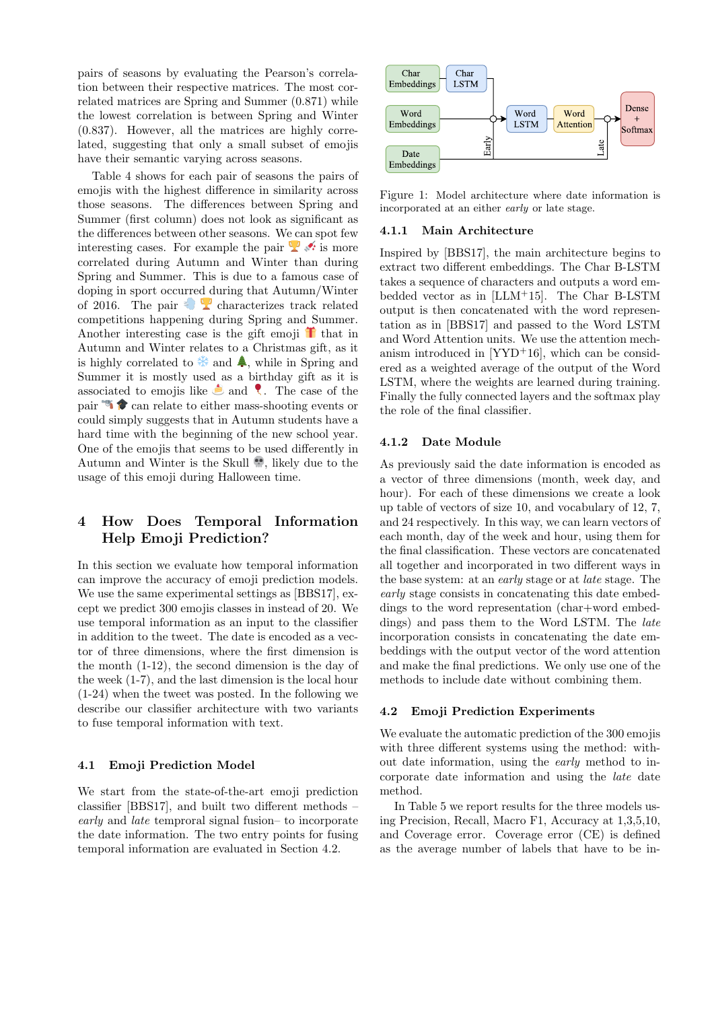pairs of seasons by evaluating the Pearson's correlation between their respective matrices. The most correlated matrices are Spring and Summer (0.871) while the lowest correlation is between Spring and Winter (0.837). However, all the matrices are highly correlated, suggesting that only a small subset of emojis have their semantic varying across seasons.

Table 4 shows for each pair of seasons the pairs of emojis with the highest difference in similarity across those seasons. The differences between Spring and Summer (first column) does not look as significant as the differences between other seasons. We can spot few interesting cases. For example the pair  $\mathbb{Z}$  is more correlated during Autumn and Winter than during Spring and Summer. This is due to a famous case of doping in sport occurred during that Autumn/Winter of 2016. The pair  $\bullet$  **c** characterizes track related competitions happening during Spring and Summer. Another interesting case is the gift emoji  $\mathbf{\hat{T}}$  that in Autumn and Winter relates to a Christmas gift, as it is highly correlated to  $\ast$  and  $\ast$ , while in Spring and Summer it is mostly used as a birthday gift as it is associated to emojis like  $\triangle$  and  $\triangle$ . The case of the pair  $\bullet$  can relate to either mass-shooting events or could simply suggests that in Autumn students have a hard time with the beginning of the new school year. One of the emojis that seems to be used differently in Autumn and Winter is the Skull  $\ddot{\bullet}$ , likely due to the usage of this emoji during Halloween time.

# 4 How Does Temporal Information Help Emoji Prediction?

In this section we evaluate how temporal information can improve the accuracy of emoji prediction models. We use the same experimental settings as [BBS17], except we predict 300 emojis classes in instead of 20. We use temporal information as an input to the classifier in addition to the tweet. The date is encoded as a vector of three dimensions, where the first dimension is the month (1-12), the second dimension is the day of the week (1-7), and the last dimension is the local hour (1-24) when the tweet was posted. In the following we describe our classifier architecture with two variants to fuse temporal information with text.

### 4.1 Emoji Prediction Model

We start from the state-of-the-art emoji prediction classifier [BBS17], and built two different methods – early and late temproral signal fusion– to incorporate the date information. The two entry points for fusing temporal information are evaluated in Section 4.2.



Figure 1: Model architecture where date information is incorporated at an either early or late stage.

### 4.1.1 Main Architecture

Inspired by [BBS17], the main architecture begins to extract two different embeddings. The Char B-LSTM takes a sequence of characters and outputs a word embedded vector as in [LLM<sup>+</sup>15]. The Char B-LSTM output is then concatenated with the word representation as in [BBS17] and passed to the Word LSTM and Word Attention units. We use the attention mechanism introduced in  $[YYD+16]$ , which can be considered as a weighted average of the output of the Word LSTM, where the weights are learned during training. Finally the fully connected layers and the softmax play the role of the final classifier.

### 4.1.2 Date Module

As previously said the date information is encoded as a vector of three dimensions (month, week day, and hour). For each of these dimensions we create a look up table of vectors of size 10, and vocabulary of 12, 7, and 24 respectively. In this way, we can learn vectors of each month, day of the week and hour, using them for the final classification. These vectors are concatenated all together and incorporated in two different ways in the base system: at an early stage or at late stage. The early stage consists in concatenating this date embeddings to the word representation (char+word embeddings) and pass them to the Word LSTM. The *late* incorporation consists in concatenating the date embeddings with the output vector of the word attention and make the final predictions. We only use one of the methods to include date without combining them.

### 4.2 Emoji Prediction Experiments

We evaluate the automatic prediction of the 300 emojis with three different systems using the method: without date information, using the early method to incorporate date information and using the late date method.

In Table 5 we report results for the three models using Precision, Recall, Macro F1, Accuracy at 1,3,5,10, and Coverage error. Coverage error (CE) is defined as the average number of labels that have to be in-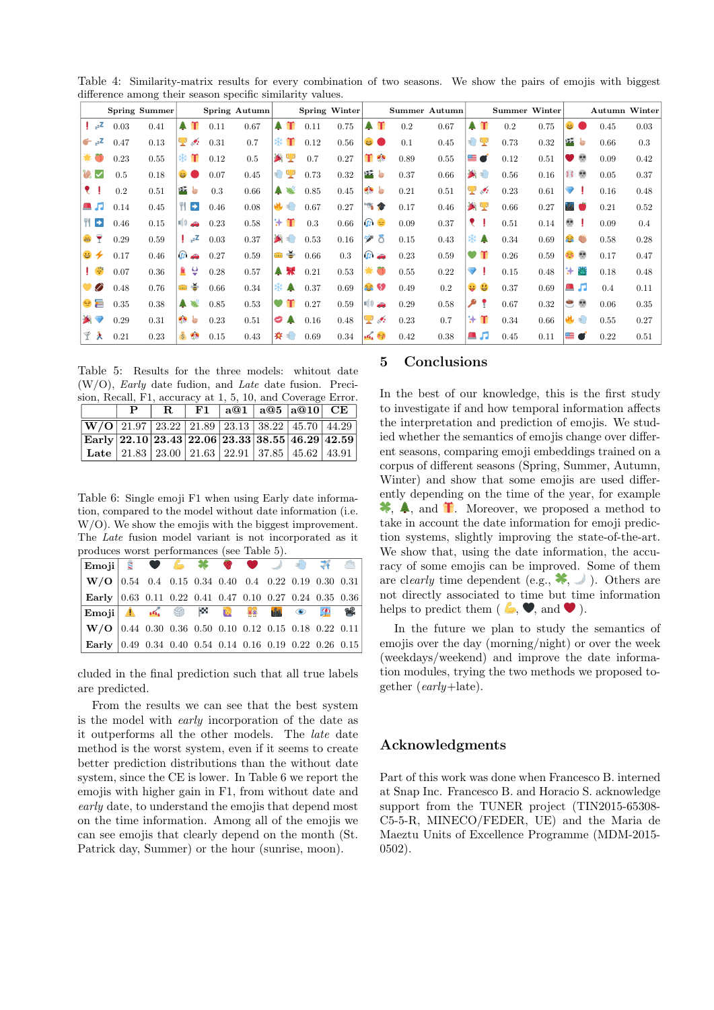|                   |      | Spring Summer |                 |                                   |      | Spring Autumn |                 |       |      | Spring Winter |           |                         |      | Summer Autumn |           |               | <b>Summer Winter</b> |      |                     |              | <b>Autumn Winter</b> |      |
|-------------------|------|---------------|-----------------|-----------------------------------|------|---------------|-----------------|-------|------|---------------|-----------|-------------------------|------|---------------|-----------|---------------|----------------------|------|---------------------|--------------|----------------------|------|
| $z^2$             | 0.03 | 0.41          |                 | 4 芾                               | 0.11 | 0.67          |                 | $A$ T | 0.11 | 0.75          |           | 4 芾                     | 0.2  | 0.67          |           | <b>A 11</b>   | 0.2                  | 0.75 | $\bullet$ $\bullet$ |              | 0.45                 | 0.03 |
|                   |      |               |                 |                                   |      |               |                 |       |      |               |           |                         |      |               |           |               |                      |      |                     |              |                      |      |
| $\epsilon_{z}$    | 0.47 | 0.13          |                 | $\mathbf{P}$ , where $\mathbf{P}$ | 0.31 | 0.7           |                 |       | 0.12 | 0.56          | မ         |                         | 0.1  | 0.45          |           | € 7           | 0.73                 | 0.32 | 22 题                |              | 0.66                 | 0.3  |
| 暮。                | 0.23 | 0.55          | ⋇               | Ŧ                                 | 0.12 | 0.5           |                 | 答案    | 0.7  | 0.27          | Ŧ.        | $\mathcal{L}$           | 0.89 | 0.55          | ▇         | Ø             | 0.12                 | 0.51 | v                   | œ            | 0.09                 | 0.42 |
|                   | 0.5  | 0.18          | $\Theta$ (      |                                   | 0.07 | 0.45          |                 | €?    | 0.73 | 0.32          |           | 光神                      | 0.37 | 0.66          |           | 笑き            | 0.56                 | 0.16 |                     |              | 0.05                 | 0.37 |
| ₹                 | 0.2  | 0.51          |                 | 好き                                | 0.3  | 0.66          | А.              |       | 0.85 | 0.45          | $\bullet$ | 每                       | 0.21 | 0.51          | Ψ         | $\mathcal{L}$ | 0.23                 | 0.61 | ♥                   | - I          | 0.16                 | 0.48 |
| а Л               | 0.14 | 0.45          |                 | $\blacktriangleright$             | 0.46 | 0.08          |                 | 出去    | 0.67 | 0.27          |           | 西合                      | 0.17 | 0.46          |           | 為聖            | 0.66                 | 0.27 | W O                 |              | 0.21                 | 0.52 |
| WE                | 0.46 | 0.15          | ■ 》             | ⊕                                 | 0.23 | 0.58          | ₩               | m     | 0.3  | 0.66          |           | $\boldsymbol{\sigma}$ e | 0.09 | 0.37          |           |               | 0.51                 | 0.14 | e.                  | ₫.           | 0.09                 | 0.4  |
| Y<br>as.          | 0.29 | 0.59          |                 | $z^z$                             | 0.03 | 0.37          |                 | 公司    | 0.53 | 0.16          | ッ         | 8                       | 0.15 | 0.43          |           | ₩▲            | 0.34                 | 0.69 | S S                 |              | 0.58                 | 0.28 |
| $\mathbf{G}$<br>✦ | 0.17 | 0.46          |                 | $\mathbb{G}$ $\spadesuit$         | 0.27 | 0.59          | <b>THE REAL</b> | ÷     | 0.66 | 0.3           |           | ி அ                     | 0.23 | 0.59          | $\bullet$ | Æ             | 0.26                 | 0.59 | æ,                  | $\mathbf{e}$ | 0.17                 | 0.47 |
| $\frac{z^2}{z^2}$ | 0.07 | 0.36          | ≞               | ę                                 | 0.28 | 0.57          |                 | 鼻果    | 0.21 | 0.53          | 暮し        | D                       | 0.55 | 0.22          |           | ♥ !           | 0.15                 | 0.48 | ₩                   | 爸            | 0.18                 | 0.48 |
| E                 | 0.48 | 0.76          | ٣W              | $\Rightarrow$                     | 0.66 | 0.34          |                 | ⋇▲    | 0.37 | 0.69          |           | <b>合 9</b>              | 0.49 | 0.2           | e.        | G             | 0.37                 | 0.69 |                     | а Л          | 0.4                  | 0.11 |
| $\Rightarrow$     | 0.35 | 0.38          |                 | 鼻降                                | 0.85 | 0.53          | $\bullet$       |       | 0.27 | 0.59          | ■ 》       | $\bigoplus$             | 0.29 | 0.58          | ۹         |               | 0.67                 | 0.32 | $\bullet$           | $\bullet$    | 0.06                 | 0.35 |
| ☎.                | 0.29 | 0.31          | $\bullet$       | 疊                                 | 0.23 | 0.51          |                 | O A   | 0.16 | 0.48          | Ψ         | $\mathcal{L}$           | 0.23 | 0.7           | ₩         | Ŧ             | 0.34                 | 0.66 | 山地                  |              | 0.55                 | 0.27 |
| Ý<br>×            | 0.21 | 0.23          | $\overline{\$}$ | $\mathcal{L}_{\text{in}}$         | 0.15 | 0.43          |                 | ★ =   | 0.69 | 0.34          |           | 10.52                   | 0.42 | 0.38          |           | а Л           | 0.45                 | 0.11 | 20                  |              | 0.22                 | 0.51 |

Table 4: Similarity-matrix results for every combination of two seasons. We show the pairs of emojis with biggest difference among their season specific similarity values.

Table 5: Results for the three models: whitout date  $(W/O)$ , *Early* date fudion, and *Late* date fusion. Preci-<br>sion Becall E1 accuracy of 1.5, 10, and Causas France

|                                                                                                                | sion, Recall, F1, accuracy at 1, 5, 10, and Coverage Error. |  |  |  |  |                                  |  |  |  |  |  |  |  |  |
|----------------------------------------------------------------------------------------------------------------|-------------------------------------------------------------|--|--|--|--|----------------------------------|--|--|--|--|--|--|--|--|
|                                                                                                                |                                                             |  |  |  |  | $R$   F1   a@1   a@5   a@10   CE |  |  |  |  |  |  |  |  |
| $\sqrt{\text{W/O}$ 21.97 23.22 21.89 23.13 38.22 45.70 44.29                                                   |                                                             |  |  |  |  |                                  |  |  |  |  |  |  |  |  |
| $\sqrt{ \text{Early} }22.10\sqrt{23.43\sqrt{22.06\sqrt{23.33}}\sqrt{38.55\sqrt{46.29\sqrt{25.5}}}}$            |                                                             |  |  |  |  |                                  |  |  |  |  |  |  |  |  |
| Late $\vert$ 21.83 $\vert$ 23.00 $\vert$ 21.63 $\vert$ 22.91 $\vert$ 37.85 $\vert$ 45.62 $\vert$ 43.91 $\vert$ |                                                             |  |  |  |  |                                  |  |  |  |  |  |  |  |  |

Table 6: Single emoji F1 when using Early date information, compared to the model without date information (i.e. W/O). We show the emojis with the biggest improvement. The Late fusion model variant is not incorporated as it produces worst performances (see Table 5).

| $  W/O   0.54   0.4   0.15   0.34   0.40   0.4   0.22   0.19   0.30   0.31  $                                                                                      |  |  |  |  |  |
|--------------------------------------------------------------------------------------------------------------------------------------------------------------------|--|--|--|--|--|
| Early $\vert 0.63 \vert 0.11 \vert 0.22 \vert 0.41 \vert 0.47 \vert 0.10 \vert 0.27 \vert 0.24 \vert 0.35 \vert 0.36 \vert$                                        |  |  |  |  |  |
| $\mathbb{E}_{\text{mo} \setminus \mathbf{I}}$ $\mathbb{A}$ $\mathbb{A}$ $\mathbb{S}$ $\mathbb{R}$ $\mathbb{R}$ $\mathbb{B}$ $\mathbb{C}$ $\mathbb{P}$ $\mathbb{R}$ |  |  |  |  |  |
|                                                                                                                                                                    |  |  |  |  |  |
| $  W/O   0.44   0.30   0.36   0.50   0.10   0.12   0.15   0.18   0.22   0.11  $                                                                                    |  |  |  |  |  |

cluded in the final prediction such that all true labels are predicted.

From the results we can see that the best system is the model with early incorporation of the date as it outperforms all the other models. The late date method is the worst system, even if it seems to create better prediction distributions than the without date system, since the CE is lower. In Table 6 we report the emojis with higher gain in F1, from without date and early date, to understand the emojis that depend most on the time information. Among all of the emojis we can see emojis that clearly depend on the month (St. Patrick day, Summer) or the hour (sunrise, moon).

### 5 Conclusions

In the best of our knowledge, this is the first study to investigate if and how temporal information affects the interpretation and prediction of emojis. We studied whether the semantics of emojis change over different seasons, comparing emoji embeddings trained on a corpus of different seasons (Spring, Summer, Autumn, Winter) and show that some emojis are used differently depending on the time of the year, for example  $\clubsuit$ ,  $\spadesuit$ , and  $\spadesuit$ . Moreover, we proposed a method to take in account the date information for emoji prediction systems, slightly improving the state-of-the-art. We show that, using the date information, the accuracy of some emojis can be improved. Some of them are clearly time dependent (e.g.,  $\bullet$ ,  $\bullet$ ). Others are not directly associated to time but time information helps to predict them ( $\mathbf{\bullet}, \mathbf{\blacktriangledown},$  and  $\mathbf{\blacktriangledown}$ ).

In the future we plan to study the semantics of emojis over the day (morning/night) or over the week (weekdays/weekend) and improve the date information modules, trying the two methods we proposed together (early+late).

# Acknowledgments

Part of this work was done when Francesco B. interned at Snap Inc. Francesco B. and Horacio S. acknowledge support from the TUNER project (TIN2015-65308- C5-5-R, MINECO/FEDER, UE) and the Maria de Maeztu Units of Excellence Programme (MDM-2015- 0502).